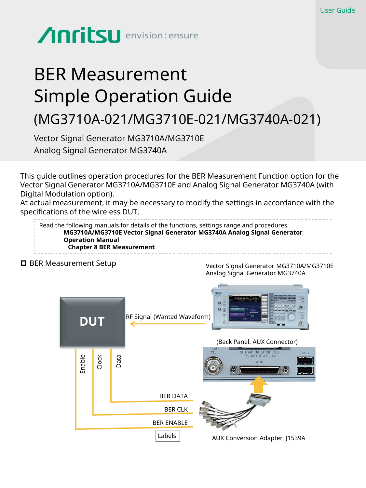# Anritsu envision: ensure

## BER Measurement Simple Operation Guide

(MG3710A-021/MG3710E-021/MG3740A-021)

Vector Signal Generator MG3710A/MG3710E Analog Signal Generator MG3740A

This guide outlines operation procedures for the BER Measurement Function option for the Vector Signal Generator MG3710A/MG3710E and Analog Signal Generator MG3740A (with Digital Modulation option).

At actual measurement, it may be necessary to modify the settings in accordance with the specifications of the wireless DUT.

Read the following manuals for details of the functions, settings range and procedures. **MG3710A/MG3710E Vector Signal Generator MG3740A Analog Signal Generator Operation Manual Chapter 8 BER Measurement**

#### **□** BER Measurement Setup

Vector Signal Generator MG3710A/MG3710E Analog Signal Generator MG3740A

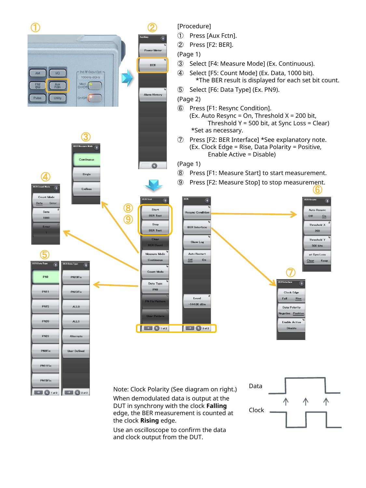

DUT in synchrony with the clock **Falling** edge, the BER measurement is counted at the clock **Rising** edge.

Use an oscilloscope to confirm the data and clock output from the DUT.